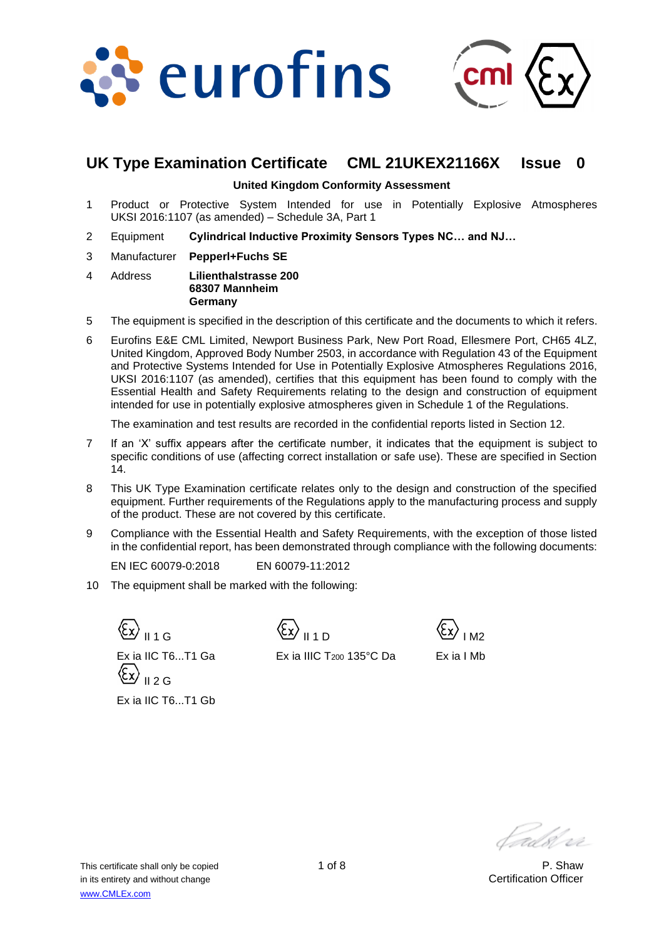



# **UK Type Examination Certificate CML 21UKEX21166X Issue 0**

#### **United Kingdom Conformity Assessment**

- 1 Product or Protective System Intended for use in Potentially Explosive Atmospheres UKSI 2016:1107 (as amended) – Schedule 3A, Part 1
- 2 Equipment **Cylindrical Inductive Proximity Sensors Types NC… and NJ…**
- 3 Manufacturer **Pepperl+Fuchs SE**
- 4 Address **Lilienthalstrasse 200 68307 Mannheim Germany**
- 5 The equipment is specified in the description of this certificate and the documents to which it refers.
- 6 Eurofins E&E CML Limited, Newport Business Park, New Port Road, Ellesmere Port, CH65 4LZ, United Kingdom, Approved Body Number 2503, in accordance with Regulation 43 of the Equipment and Protective Systems Intended for Use in Potentially Explosive Atmospheres Regulations 2016, UKSI 2016:1107 (as amended), certifies that this equipment has been found to comply with the Essential Health and Safety Requirements relating to the design and construction of equipment intended for use in potentially explosive atmospheres given in Schedule 1 of the Regulations.

The examination and test results are recorded in the confidential reports listed in Section 12.

- 7 If an 'X' suffix appears after the certificate number, it indicates that the equipment is subject to specific conditions of use (affecting correct installation or safe use). These are specified in Section 14.
- 8 This UK Type Examination certificate relates only to the design and construction of the specified equipment. Further requirements of the Regulations apply to the manufacturing process and supply of the product. These are not covered by this certificate.
- 9 Compliance with the Essential Health and Safety Requirements, with the exception of those listed in the confidential report, has been demonstrated through compliance with the following documents:

EN IEC 60079-0:2018 EN 60079-11:2012

10 The equipment shall be marked with the following:

 $\big\}$  II 1 G Ex ia IIC T6...T1 Ga  $\overline{112}$  C Ex ia IIC T6...T1 Gb

 $II 1 D$ 



Ex ia IIIC T<sub>200</sub> 135°C Da

Ex ia I Mb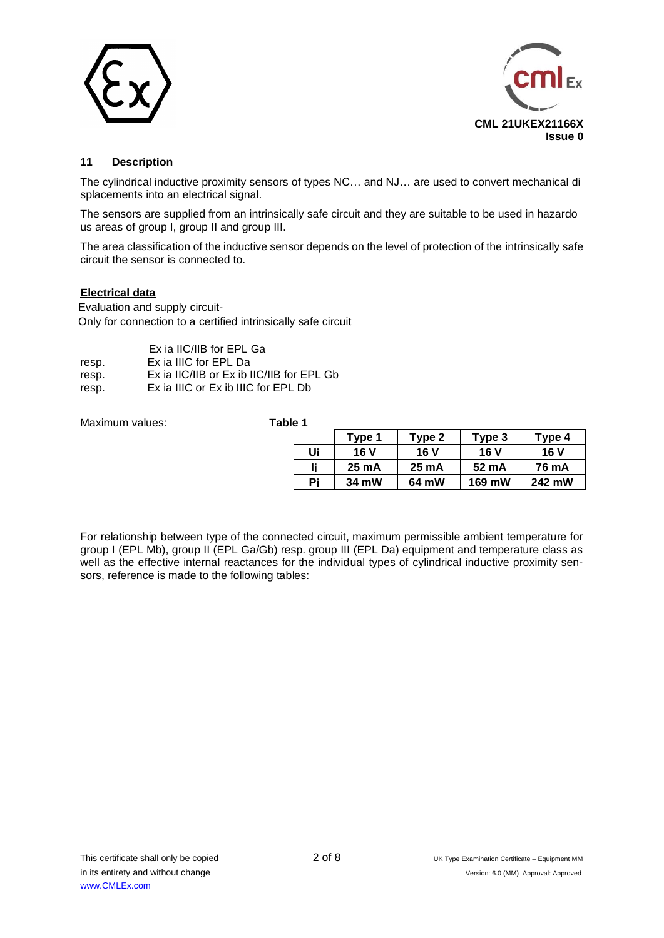



# **11 Description**

The cylindrical inductive proximity sensors of types NC… and NJ… are used to convert mechanical di splacements into an electrical signal.

The sensors are supplied from an intrinsically safe circuit and they are suitable to be used in hazardo us areas of group I, group II and group III.

The area classification of the inductive sensor depends on the level of protection of the intrinsically safe circuit the sensor is connected to.

#### **Electrical data**

Evaluation and supply circuit-Only for connection to a certified intrinsically safe circuit

|       | Ex ia IIC/IIB for EPL Ga                  |
|-------|-------------------------------------------|
| resp. | Ex ia IIIC for EPL Da                     |
| resp. | Ex ia IIC/IIB or Ex ib IIC/IIB for EPL Gb |
| resp. | Ex ia IIIC or Ex ib IIIC for EPL Db       |
|       |                                           |

Maximum values: **Table 1**

|    | Type 1          | Type 2 | Type 3 | Type 4 |
|----|-----------------|--------|--------|--------|
| Ui | 16 V            | 16 V   | 16 V   | 16 V   |
| li | $25 \text{ mA}$ | 25 mA  | 52 mA  | 76 mA  |
| Pi | 34 mW           | 64 mW  | 169 mW | 242 mW |

For relationship between type of the connected circuit, maximum permissible ambient temperature for group I (EPL Mb), group II (EPL Ga/Gb) resp. group III (EPL Da) equipment and temperature class as well as the effective internal reactances for the individual types of cylindrical inductive proximity sensors, reference is made to the following tables: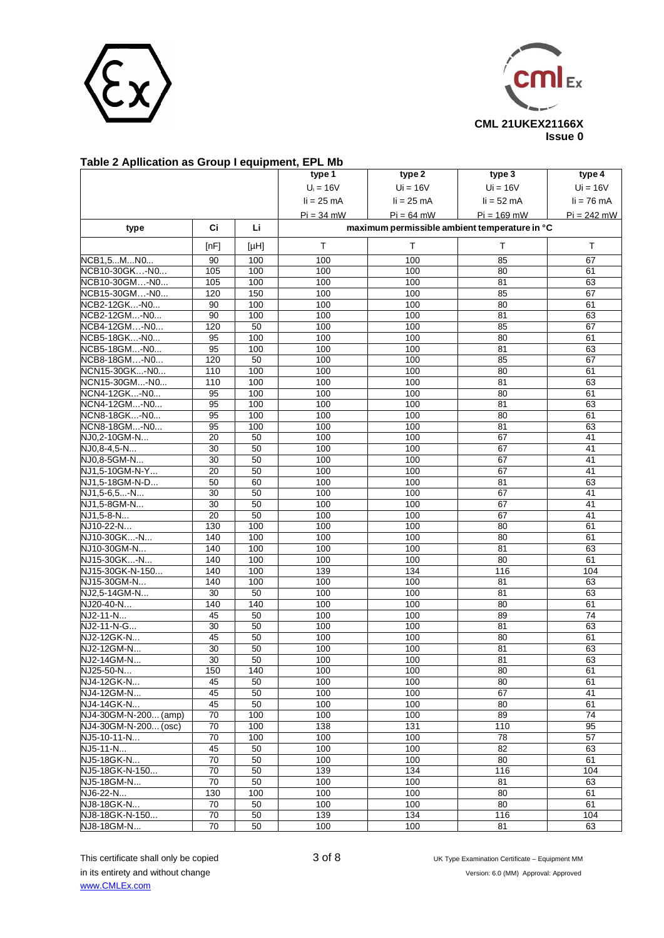



### **Table 2 Apllication as Group I equipment, EPL Mb**

|                      |                 |      | type 1       | type 2                                        | type 3          | type 4          |
|----------------------|-----------------|------|--------------|-----------------------------------------------|-----------------|-----------------|
|                      |                 |      | $U_i = 16V$  | $Ui = 16V$                                    | $Ui = 16V$      | $Ui = 16V$      |
|                      |                 |      | $li = 25$ mA | $li = 25 mA$                                  | $li = 52$ mA    | $li = 76$ mA    |
|                      |                 |      |              |                                               |                 |                 |
|                      |                 |      | $Pi = 34$ mW | $Pi = 64$ mW                                  | $Pi = 169$ mW   | $Pi = 242$ mW   |
| type                 | Ci              | Li   |              | maximum permissible ambient temperature in °C |                 |                 |
|                      | [nF]            | [HH] | T.           | T.                                            | T.              | T.              |
| NCB1,5MN0            | 90              | 100  | 100          | 100                                           | 85              | 67              |
| NCB10-30GK-N0        | 105             | 100  | 100          | 100                                           | 80              | 61              |
| NCB10-30GM-N0        | 105             | 100  | 100          | 100                                           | 81              | 63              |
| NCB15-30GM-N0        | 120             | 150  | 100          | 100                                           | 85              | 67              |
| NCB2-12GK-N0         | 90              | 100  | 100          | 100                                           | 80              | 61              |
| NCB2-12GM-N0         | 90              | 100  | 100          | 100                                           | 81              | 63              |
| NCB4-12GM-N0         | 120             | 50   | 100          | 100                                           | 85              | 67              |
| NCB5-18GK-N0         | 95              | 100  | 100          | 100                                           | 80              | 61              |
| NCB5-18GM-N0         | 95              | 100  | 100          | 100                                           | 81              | 63              |
| NCB8-18GM-N0         | 120             | 50   | 100          | 100                                           | 85              | 67              |
| NCN15-30GK-N0        | 110             | 100  | 100          | 100                                           | 80              | 61              |
| NCN15-30GM-N0        | 110             | 100  | 100          | 100                                           | 81              | 63              |
| NCN4-12GK-N0         | 95              | 100  | 100          | 100                                           | $\overline{80}$ | 61              |
| NCN4-12GM-N0         | 95              | 100  | 100          | 100                                           | 81              | 63              |
| NCN8-18GK-N0         | 95              | 100  | 100          | 100                                           | 80              | 61              |
| NCN8-18GM-N0         | 95              | 100  | 100          | 100                                           | 81              | 63              |
| NJ0,2-10GM-N         | 20              | 50   | 100          | 100                                           | 67              | 41              |
| NJ0,8-4,5-N          | 30              | 50   | 100          | 100                                           | 67              | 41              |
| NJ0,8-5GM-N          | $\overline{30}$ | 50   | 100          | 100                                           | 67              | 41              |
| NJ1,5-10GM-N-Y       | 20              | 50   | 100          | 100                                           | 67              | 41              |
| NJ1,5-18GM-N-D       | 50              | 60   | 100          | 100                                           | 81              | 63              |
| NJ1,5-6,5-N          | $\overline{30}$ | 50   | 100          | 100                                           | 67              | 41              |
| NJ1,5-8GM-N          | 30              | 50   | 100          | 100                                           | 67              | 41              |
| NJ1,5-8-N            | 20              | 50   | 100          | 100                                           | 67              | 41              |
| NJ10-22-N            | 130             | 100  | 100          | 100                                           | 80              | 61              |
| NJ10-30GK-N          | 140             | 100  | 100          | 100                                           | 80              | 61              |
| NJ10-30GM-N          | 140             | 100  | 100          | 100                                           | 81              | 63              |
| NJ15-30GK-N          | 140             | 100  | 100          | 100                                           | 80              | 61              |
| NJ15-30GK-N-150      | 140             | 100  | 139          | 134                                           | 116             | 104             |
| NJ15-30GM-N          | 140             | 100  | 100          | 100                                           | 81              | 63              |
| NJ2,5-14GM-N         | 30              | 50   | 100          | 100                                           | 81              | 63              |
| NJ20-40-N            | 140             | 140  | 100          | 100                                           | 80              | 61              |
| NJ2-11-N             | 45              | 50   | 100          | 100                                           | 89              | $\overline{74}$ |
| $NJ2 - 11 - N - G$   | 30              | 50   | 100          | 100                                           | 81              | 63              |
| NJ2-12GK-N           | 45              | 50   | 100          | 100                                           | 80              | 61              |
| NJ2-12GM-N           | $\overline{30}$ | 50   | 100          | 100                                           | 81              | 63              |
| NJ2-14GM-N           | 30              | 50   | 100          | 100                                           | 81              | 63              |
| NJ25-50-N            | 150             | 140  | 100          | 100                                           | 80              | 61              |
| NJ4-12GK-N           | 45              | 50   | 100          | 100                                           | 80              | 61              |
| NJ4-12GM-N           | 45              | 50   | 100          | 100                                           | 67              | 41              |
| NJ4-14GK-N           | 45              | 50   | 100          | 100                                           | 80              | 61              |
| NJ4-30GM-N-200 (amp) | $\overline{70}$ | 100  | 100          | 100                                           | 89              | $\overline{74}$ |
| NJ4-30GM-N-200 (osc) | 70              | 100  | 138          | 131                                           | 110             | 95              |
| NJ5-10-11-N          | 70              | 100  | 100          | 100                                           | 78              | 57              |
| NJ5-11-N             | 45              | 50   | 100          | 100                                           | 82              | 63              |
| NJ5-18GK-N           | 70              | 50   | 100          | 100                                           | 80              | 61              |
| NJ5-18GK-N-150       | 70              | 50   | 139          | 134                                           | 116             | 104             |
| NJ5-18GM-N           | $\overline{70}$ | 50   | 100          | 100                                           | 81              | 63              |
| NJ6-22-N             | 130             | 100  | 100          | 100                                           | 80              | 61              |
| NJ8-18GK-N           | 70              | 50   | 100          | 100                                           | 80              | 61              |
| NJ8-18GK-N-150       | 70              | 50   | 139          | 134                                           | 116             | 104             |
| NJ8-18GM-N           | $\overline{70}$ | 50   | 100          | 100                                           | 81              | 63              |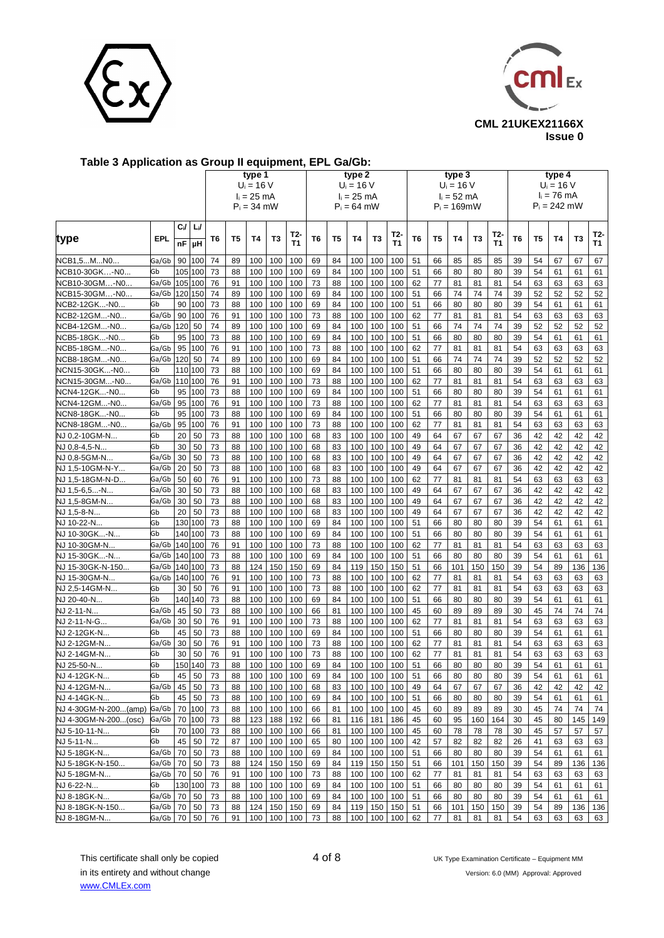



# **Table 3 Application as Group II equipment, EPL Ga/Gb:**

|                            |            |           |           |    |    | type 1<br>$U_i = 16 V$<br>$I_i = 25$ mA<br>$P_i = 34$ mW |     |           |    |                | type 2<br>$U_i = 16 V$<br>$I_i = 25$ mA<br>$P_i = 64$ mW |     |           |    |                | type 3<br>$U_i = 16 V$<br>$I_i = 52$ mA<br>$P_i = 169$ mW |                |                  |    |                | type 4<br>$U_i = 16 V$<br>$I_i = 76$ mA<br>$P_i = 242$ mW |     |                  |
|----------------------------|------------|-----------|-----------|----|----|----------------------------------------------------------|-----|-----------|----|----------------|----------------------------------------------------------|-----|-----------|----|----------------|-----------------------------------------------------------|----------------|------------------|----|----------------|-----------------------------------------------------------|-----|------------------|
| type                       | <b>EPL</b> | Ci/<br>nF | Li/<br>μH | T6 | T5 | <b>T4</b>                                                | Т3  | T2-<br>T1 | T6 | T <sub>5</sub> | T4                                                       | T3  | T2-<br>T1 | T6 | T <sub>5</sub> | <b>T4</b>                                                 | T <sub>3</sub> | T2-<br><b>T1</b> | T6 | T <sub>5</sub> | T4                                                        | T3  | T2-<br><b>T1</b> |
| NCB1,5MN0                  | Ga/Gb      | 90        | 100       | 74 | 89 | 100                                                      | 100 | 100       | 69 | 84             | 100                                                      | 100 | 100       | 51 | 66             | 85                                                        | 85             | 85               | 39 | 54             | 67                                                        | 67  | 67               |
| NCB10-30GK-N0              | Gb         | 105       | 100       | 73 | 88 | 100                                                      | 100 | 100       | 69 | 84             | 100                                                      | 100 | 100       | 51 | 66             | 80                                                        | 80             | 80               | 39 | 54             | 61                                                        | 61  | 61               |
| <b>VCB10-30GM-N0</b>       | Ga/Gb      | 105       | 100       | 76 | 91 | 100                                                      | 100 | 100       | 73 | 88             | 100                                                      | 100 | 100       | 62 | 77             | 81                                                        | 81             | 81               | 54 | 63             | 63                                                        | 63  | 63               |
| \CB15-30GM…-N0…            | Ga/Gb      | 120       | 150       | 74 | 89 | 100                                                      | 100 | 100       | 69 | 84             | 100                                                      | 100 | 100       | 51 | 66             | 74                                                        | 74             | 74               | 39 | 52             | 52                                                        | 52  | 52               |
| VCB2-12GK-N0               | Gb         | 90        | 100       | 73 | 88 | 100                                                      | 100 | 100       | 69 | 84             | 100                                                      | 100 | 100       | 51 | 66             | 80                                                        | 80             | 80               | 39 | 54             | 61                                                        | 61  | 61               |
| VCB2-12GM-N0               | Ga/Gb      | 90        | 100       | 76 | 91 | 100                                                      | 100 | 100       | 73 | 88             | 100                                                      | 100 | 100       | 62 | 77             | 81                                                        | 81             | 81               | 54 | 63             | 63                                                        | 63  | 63               |
| VCB4-12GM-N0               | Ga/Gb      | 120       | 50        | 74 | 89 | 100                                                      | 100 | 100       | 69 | 84             | 100                                                      | 100 | 100       | 51 | 66             | 74                                                        | 74             | 74               | 39 | 52             | 52                                                        | 52  | 52               |
| NCB5-18GK-N0               | Gb         | 95        | 100       | 73 | 88 | 100                                                      | 100 | 100       | 69 | 84             | 100                                                      | 100 | 100       | 51 | 66             | 80                                                        | 80             | 80               | 39 | 54             | 61                                                        | 61  | 61               |
| \CB5-18GM-N0               | Ga/Gb      | 95        | 100       | 76 | 91 | 100                                                      | 100 | 100       | 73 | 88             | 100                                                      | 100 | 100       | 62 | 77             | 81                                                        | 81             | 81               | 54 | 63             | 63                                                        | 63  | 63               |
| <b>VCB8-18GM-N0</b>        | Ga/Gb      | 120       | 50        | 74 | 89 | 100                                                      | 100 | 100       | 69 | 84             | 100                                                      | 100 | 100       | 51 | 66             | 74                                                        | 74             | 74               | 39 | 52             | 52                                                        | 52  | 52               |
| \CN15-30GK-N0              | Gb         |           | 110 100   | 73 | 88 | 100                                                      | 100 | 100       | 69 | 84             | 100                                                      | 100 | 100       | 51 | 66             | 80                                                        | 80             | 80               | 39 | 54             | 61                                                        | 61  | 61               |
| NCN15-30GM-N0              | Ga/Gb      | 110       | 100       | 76 | 91 | 100                                                      | 100 | 100       | 73 | 88             | 100                                                      | 100 | 100       | 62 | 77             | 81                                                        | 81             | 81               | 54 | 63             | 63                                                        | 63  | 63               |
| NCN4-12GK-N0               | Gb         | 95        | 100       | 73 | 88 | 100                                                      | 100 | 100       | 69 | 84             | 100                                                      | 100 | 100       | 51 | 66             | 80                                                        | 80             | 80               | 39 | 54             | 61                                                        | 61  | 61               |
| VCN4-12GM-N0               | Ga/Gb      | 95        | 100       | 76 | 91 | 100                                                      | 100 | 100       | 73 | 88             | 100                                                      | 100 | 100       | 62 | 77             | 81                                                        | 81             | 81               | 54 | 63             | 63                                                        | 63  | 63               |
| NCN8-18GK-N0               | Gb         | 95        | 100       | 73 | 88 | 100                                                      | 100 | 100       | 69 | 84             | 100                                                      | 100 | 100       | 51 | 66             | 80                                                        | 80             | 80               | 39 | 54             | 61                                                        | 61  | 61               |
| NCN8-18GM-N0               | Ga/Gb      | 95        | 100       | 76 | 91 | 100                                                      | 100 | 100       | 73 | 88             | 100                                                      | 100 | 100       | 62 | 77             | 81                                                        | 81             | 81               | 54 | 63             | 63                                                        | 63  | 63               |
| NJ 0,2-10GM-N              | Gb         | 20        | 50        | 73 | 88 | 100                                                      | 100 | 100       | 68 | 83             | 100                                                      | 100 | 100       | 49 | 64             | 67                                                        | 67             | 67               | 36 | 42             | 42                                                        | 42  | 42               |
| NJ 0,8-4,5-N               | Gb         | 30        | 50        | 73 | 88 | 100                                                      | 100 | 100       | 68 | 83             | 100                                                      | 100 | 100       | 49 | 64             | 67                                                        | 67             | 67               | 36 | 42             | 42                                                        | 42  | 42               |
| NJ 0.8-5GM-N               | Ga/Gb      | 30        | 50        | 73 | 88 | 100                                                      | 100 | 100       | 68 | 83             | 100                                                      | 100 | 100       | 49 | 64             | 67                                                        | 67             | 67               | 36 | 42             | 42                                                        | 42  | 42               |
| NJ 1,5-10GM-N-Y            | Ga/Gb      | 20        | 50        | 73 | 88 | 100                                                      | 100 | 100       | 68 | 83             | 100                                                      | 100 | 100       | 49 | 64             | 67                                                        | 67             | 67               | 36 | 42             | 42                                                        | 42  | 42               |
| NJ 1,5-18GM-N-D            | Ga/Gb      | 50        | 60        | 76 | 91 | 100                                                      | 100 | 100       | 73 | 88             | 100                                                      | 100 | 100       | 62 | 77             | 81                                                        | 81             | 81               | 54 | 63             | 63                                                        | 63  | 63               |
| NJ 1,5-6,5-N               | Ga/Gb      | 30        | 50        | 73 | 88 | 100                                                      | 100 | 100       | 68 | 83             | 100                                                      | 100 | 100       | 49 | 64             | 67                                                        | 67             | 67               | 36 | 42             | 42                                                        | 42  | 42               |
| NJ 1,5-8GM-N               | Ga/Gb      | 30        | 50        | 73 | 88 | 100                                                      | 100 | 100       | 68 | 83             | 100                                                      | 100 | 100       | 49 | 64             | 67                                                        | 67             | 67               | 36 | 42             | 42                                                        | 42  | 42               |
| NJ 1,5-8-N                 | Gb         | 20        | 50        | 73 | 88 | 100                                                      | 100 | 100       | 68 | 83             | 100                                                      | 100 | 100       | 49 | 64             | 67                                                        | 67             | 67               | 36 | 42             | 42                                                        | 42  | 42               |
| NJ 10-22-N                 | Gb         | 130       | 100       | 73 | 88 | 100                                                      | 100 | 100       | 69 | 84             | 100                                                      | 100 | 100       | 51 | 66             | 80                                                        | 80             | 80               | 39 | 54             | 61                                                        | 61  | 61               |
| NJ 10-30GK-N               | Gb         | 140       | 100       | 73 | 88 | 100                                                      | 100 | 100       | 69 | 84             | 100                                                      | 100 | 100       | 51 | 66             | 80                                                        | 80             | 80               | 39 | 54             | 61                                                        | 61  | 61               |
| NJ 10-30GM-N               | Ga/Gb      | 140       | 100       | 76 | 91 | 100                                                      | 100 | 100       | 73 | 88             | 100                                                      | 100 | 100       | 62 | 77             | 81                                                        | 81             | 81               | 54 | 63             | 63                                                        | 63  | 63               |
| NJ 15-30GK-N               | Ga/Gb      | 140       | 100       | 73 | 88 | 100                                                      | 100 | 100       | 69 | 84             | 100                                                      | 100 | 100       | 51 | 66             | 80                                                        | 80             | 80               | 39 | 54             | 61                                                        | 61  | 61               |
| NJ 15-30GK-N-150           | Ga/Gb      | 140       | 100       | 73 | 88 | 124                                                      | 150 | 150       | 69 | 84             | 119                                                      | 150 | 150       | 51 | 66             | 101                                                       | 150            | 150              | 39 | 54             | 89                                                        | 136 | 136              |
| NJ 15-30GM-N               | Ga/Gb      |           | 140 100   | 76 | 91 | 100                                                      | 100 | 100       | 73 | 88             | 100                                                      | 100 | 100       | 62 | 77             | 81                                                        | 81             | 81               | 54 | 63             | 63                                                        | 63  | 63               |
| NJ 2,5-14GM-N              | Gb         | 30        | 50        | 76 | 91 | 100                                                      | 100 | 100       | 73 | 88             | 100                                                      | 100 | 100       | 62 | 77             | 81                                                        | 81             | 81               | 54 | 63             | 63                                                        | 63  | 63               |
| NJ 20-40-N                 | Gb         | 140       | 140       | 73 | 88 | 100                                                      | 100 | 100       | 69 | 84             | 100                                                      | 100 | 100       | 51 | 66             | 80                                                        | 80             | 80               | 39 | 54             | 61                                                        | 61  | 61               |
| NJ 2-11-N                  | Ga/Gb      | 45        | 50        | 73 | 88 | 100                                                      | 100 | 100       | 66 | 81             | 100                                                      | 100 | 100       | 45 | 60             | 89                                                        | 89             | 89               | 30 | 45             | 74                                                        | 74  | 74               |
| NJ 2-11-N-G                | Ga/Gb      | 30        | 50        | 76 | 91 | 100                                                      | 100 | 100       | 73 | 88             | 100                                                      | 100 | 100       | 62 | 77             | 81                                                        | 81             | 81               | 54 | 63             | 63                                                        | 63  | 63               |
| NJ 2-12GK-N                | Gb         | 45        | 50        | 73 | 88 | 100                                                      | 100 | 100       | 69 | 84             | 100                                                      | 100 | 100       | 51 | 66             | 80                                                        | 80             | 80               | 39 | 54             | 61                                                        | 61  | 61               |
| NJ 2-12GM-N                | Ga/Gb      | 30        | 50        | 76 | 91 | 100                                                      | 100 | 100       | 73 | 88             | 100                                                      | 100 | 100       | 62 | 77             | 81                                                        | 81             | 81               | 54 | 63             | 63                                                        | 63  | 63               |
| NJ 2-14GM-N                | Gb         | 30        | 50        | 76 | 91 | 100                                                      | 100 | 100       | 73 | 88             | 100                                                      | 100 | 100       | 62 | 77             | 81                                                        | 81             | 81               | 54 | 63             | 63                                                        | 63  | 63               |
| NJ 25-50-N.                | Gb         |           | 150 140   | 73 | 88 | 100                                                      | 100 | 100       | 69 | 84             | 100                                                      | 100 | 100       | 51 | 66             | 80                                                        | 80             | 80               | 39 | 54             | 61                                                        | 61  | 61               |
| NJ 4-12GK-N                | Gb         | 45        | 50        | 73 | 88 | 100                                                      | 100 | 100       | 69 | 84             | 100                                                      | 100 | 100       | 51 | 66             | 80                                                        | 80             | 80               | 39 | 54             | 61                                                        | 61  | 61               |
| NJ 4-12GM-N                | Ga/Gb      | 45        | 50        | 73 | 88 | 100                                                      | 100 | 100       | 68 | 83             | 100                                                      | 100 | 100       | 49 | 64             | 67                                                        | 67             | 67               | 36 | 42             | 42                                                        | 42  | 42               |
| NJ 4-14GK-N                | Gb         | 45        | 50        | 73 | 88 | 100                                                      | 100 | 100       | 69 | 84             | 100                                                      | 100 | 100       | 51 | 66             | 80                                                        | 80             | 80               | 39 | 54             | 61                                                        | 61  | 61               |
| NJ 4-30GM-N-200(amp) Ga/Gb |            |           | 70 100    | 73 | 88 | 100                                                      | 100 | 100       | 66 | 81             | 100                                                      | 100 | 100       | 45 | 60             | 89                                                        | 89             | 89               | 30 | 45             | 74                                                        | 74  | 74               |
| NJ 4-30GM-N-200(osc)       | Ga/Gb      | 70        | 100       | 73 | 88 | 123                                                      | 188 | 192       | 66 | 81             | 116                                                      | 181 | 186       | 45 | 60             | 95                                                        | 160            | 164              | 30 | 45             | 80                                                        | 145 | 149              |
| NJ 5-10-11-N               | Gb         | 70        | 100       | 73 | 88 | 100                                                      | 100 | 100       | 66 | 81             | 100                                                      | 100 | 100       | 45 | 60             | 78                                                        | 78             | 78               | 30 | 45             | 57                                                        | 57  | 57               |
| NJ 5-11-N                  | Gb         | 45        | 50        | 72 | 87 | 100                                                      | 100 | 100       | 65 | 80             | 100                                                      | 100 | 100       | 42 | 57             | 82                                                        | 82             | 82               | 26 | 41             | 63                                                        | 63  | 63               |
| NJ 5-18GK-N                | Ga/Gb      | 70        | 50        | 73 | 88 | 100                                                      | 100 | 100       | 69 | 84             | 100                                                      | 100 | 100       | 51 | 66             | 80                                                        | 80             | 80               | 39 | 54             | 61                                                        | 61  | 61               |
| NJ 5-18GK-N-150            | Ga/Gb      | 70        | 50        | 73 | 88 | 124                                                      | 150 | 150       | 69 | 84             | 119                                                      | 150 | 150       | 51 | 66             | 101                                                       | 150            | 150              | 39 | 54             | 89                                                        | 136 | 136              |
| NJ 5-18GM-N                | Ga/Gb      | 70        | 50        | 76 | 91 | 100                                                      | 100 | 100       | 73 | 88             | 100                                                      | 100 | 100       | 62 | 77             | 81                                                        | 81             | 81               | 54 | 63             | 63                                                        | 63  | 63               |
| NJ 6-22-N                  | Gb         |           | 130 100   | 73 | 88 | 100                                                      | 100 | 100       | 69 | 84             | 100                                                      | 100 | 100       | 51 | 66             | 80                                                        | 80             | 80               | 39 | 54             | 61                                                        | 61  | 61               |
| NJ 8-18GK-N                | Ga/Gb      | 70        | 50        | 73 | 88 | 100                                                      | 100 | 100       | 69 | 84             | 100                                                      | 100 | 100       | 51 | 66             | 80                                                        | 80             | 80               | 39 | 54             | 61                                                        | 61  | 61               |
| NJ 8-18GK-N-150            | Ga/Gb      | 70        | 50        | 73 | 88 | 124                                                      | 150 | 150       | 69 | 84             | 119                                                      | 150 | 150       | 51 | 66             | 101                                                       | 150            | 150              | 39 | 54             | 89                                                        | 136 | 136              |
| NJ 8-18GM-N.               | Ga/Gb      | 70        | 50        | 76 | 91 | 100                                                      | 100 | 100       | 73 | 88             | 100                                                      | 100 | 100       | 62 | 77             | 81                                                        | 81             | 81               | 54 | 63             | 63                                                        | 63  | 63               |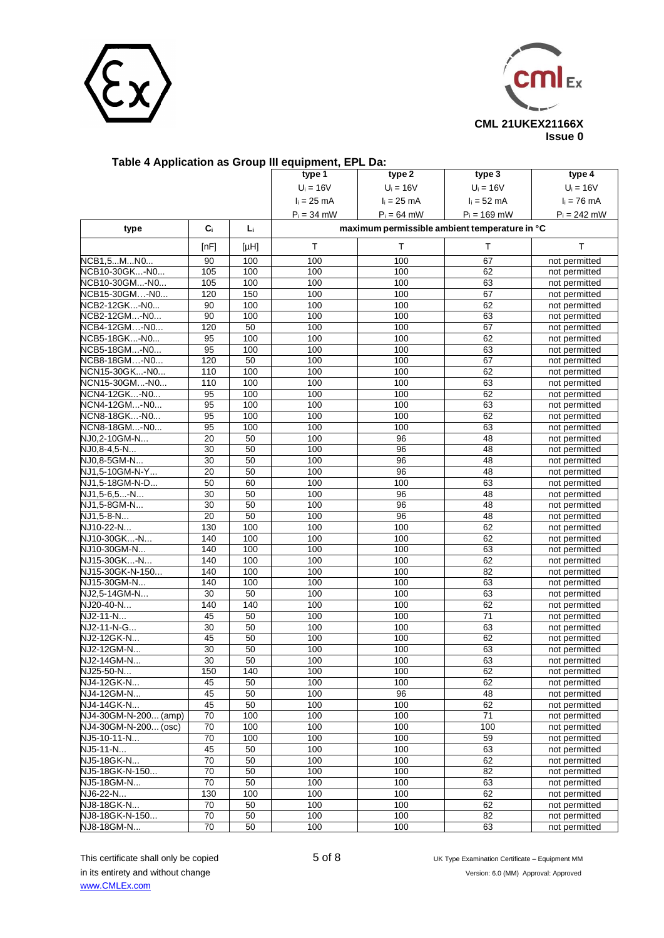



|                              |                 |                 | rable 4 Application as Group III equipment, EPL Da: |               |                                               |                                |
|------------------------------|-----------------|-----------------|-----------------------------------------------------|---------------|-----------------------------------------------|--------------------------------|
|                              |                 |                 | type 1                                              | type 2        | type <sub>3</sub>                             | type 4                         |
|                              |                 |                 | $U_i = 16V$                                         | $U_i = 16V$   | $U_i = 16V$                                   | $U_i = 16V$                    |
|                              |                 |                 | $I_i = 25$ mA                                       | $I_i = 25$ mA | $I_i = 52$ mA                                 | $I_i = 76$ mA                  |
|                              |                 |                 | $P_i = 34$ mW                                       | $P_i = 64$ mW | $P_i = 169$ mW                                | $P_i = 242$ mW                 |
| type                         | C <sub>i</sub>  | L.              |                                                     |               | maximum permissible ambient temperature in °C |                                |
|                              | [nF]            | [HH]            | Τ                                                   | T             | T                                             | T.                             |
| NCB1,5MN0                    | 90              | 100             | 100                                                 | 100           | 67                                            |                                |
| NCB10-30GK-N0                | 105             | 100             | 100                                                 | 100           | 62                                            | not permitted<br>not permitted |
| NCB10-30GM-N0                | 105             | 100             | 100                                                 | 100           | 63                                            | not permitted                  |
| NCB15-30GM-N0                | 120             | 150             | 100                                                 | 100           | 67                                            | not permitted                  |
| NCB2-12GK-N0                 | 90              | 100             | 100                                                 | 100           | 62                                            | not permitted                  |
| NCB2-12GM-N0                 | 90              | 100             | 100                                                 | 100           | 63                                            | not permitted                  |
| NCB4-12GM-N0                 | 120             | 50              | 100                                                 | 100           | 67                                            | not permitted                  |
| NCB5-18GK-N0                 | 95              | 100             | 100                                                 | 100           | 62                                            | not permitted                  |
| NCB5-18GM-N0                 | 95              | 100             | 100                                                 | 100           | 63                                            | not permitted                  |
| NCB8-18GM-N0                 | 120             | $\overline{50}$ | 100                                                 | 100           | 67                                            | not permitted                  |
| NCN15-30GK-N0                | 110             | 100             | 100                                                 | 100           | 62                                            | not permitted                  |
| NCN15-30GM-N0                | 110             | 100             | 100                                                 | 100           | 63                                            | not permitted                  |
| NCN4-12GK-N0                 | 95              | 100             | 100                                                 | 100           | 62                                            | not permitted                  |
| NCN4-12GM-N0                 | 95              | 100             | 100                                                 | 100           | 63                                            | not permitted                  |
| NCN8-18GK-N0                 | 95              | 100             | 100                                                 | 100           | 62                                            | not permitted                  |
| NCN8-18GM-N0                 | 95              | 100             | 100                                                 | 100           | 63                                            | not permitted                  |
| NJ0,2-10GM-N                 | 20              | 50              | 100                                                 | 96            | 48                                            | not permitted                  |
| $\overline{NJO, 8-4, 5}$ -N  | 30              | 50              | 100                                                 | 96            | 48                                            | not permitted                  |
| NJ0,8-5GM-N                  | 30              | 50              | 100                                                 | 96            | 48                                            | not permitted                  |
| NJ1,5-10GM-N-Y               | 20              | 50              | 100                                                 | 96            | 48                                            | not permitted                  |
| NJ1,5-18GM-N-D               | 50              | 60              | 100                                                 | 100           | 63                                            | not permitted                  |
| NJ1,5-6,5-N                  | 30              | 50              | 100                                                 | 96            | 48                                            | not permitted                  |
| NJ1,5-8GM-N                  | 30              | 50              | 100                                                 | 96            | 48                                            | not permitted                  |
| NJ1,5-8-N                    | 20              | 50              | 100                                                 | 96            | 48                                            | not permitted                  |
| NJ10-22-N                    | 130             | 100             | 100                                                 | 100           | 62                                            | not permitted                  |
| NJ10-30GK-N                  | 140             | 100             | 100                                                 | 100           | 62                                            | not permitted                  |
| NJ10-30GM-N                  | 140             | 100             | 100                                                 | 100           | 63                                            | not permitted                  |
| NJ15-30GK-N                  | 140             | 100             | 100                                                 | 100           | 62                                            | not permitted                  |
| NJ15-30GK-N-150              | 140             | 100             | 100                                                 | 100           | 82                                            | not permitted                  |
| NJ15-30GM-N                  | 140             | 100             | 100                                                 | 100           | 63                                            | not permitted                  |
| NJ2.5-14GM-N                 | 30              | 50              | 100                                                 | 100           | 63                                            | not permitted                  |
| NJ20-40-N                    | 140             | 140             | 100                                                 | 100           | 62                                            | not permitted                  |
| NJ2-11-N                     | 45              | 50              | 100                                                 | 100           | $\overline{71}$                               | not permitted                  |
| NJ2-11-N-G                   | 30              | 50              | 100                                                 | 100           | 63                                            | not permitted                  |
| NJ2-12GK-N                   | 45              | 50              | 100                                                 | 100           | 62                                            | not permitted                  |
| NJ2-12GM-N                   | 30              | 50              | 100                                                 | 100           | 63                                            | not permitted                  |
| NJ2-14GM-N                   | 30              | 50              | 100                                                 | 100           | 63                                            | not permitted                  |
| NJ25-50-N                    | 150             | 140             | 100                                                 | 100           | 62                                            | not permitted                  |
| NJ4-12GK-N                   | 45              | 50              | 100                                                 | 100           | 62                                            | not permitted                  |
| NJ4-12GM-N                   | 45              | 50              | 100                                                 | 96            | 48                                            | not permitted                  |
| NJ4-14GK-N                   | 45              | 50              | 100                                                 | 100           | 62                                            | not permitted                  |
| NJ4-30GM-N-200 (amp)         | 70              | 100             | 100                                                 | 100           | $\overline{71}$                               | not permitted                  |
| NJ4-30GM-N-200 (osc)         | 70              | 100             | 100                                                 | 100           | 100                                           | not permitted                  |
| NJ5-10-11-N                  | 70              | 100             | 100                                                 | 100           | 59                                            | not permitted                  |
| NJ5-11-N                     | 45              | 50              | 100                                                 | 100           | 63                                            | not permitted                  |
| NJ5-18GK-N                   | 70              | 50              | 100                                                 | 100           | 62                                            | not permitted                  |
| NJ5-18GK-N-150               | 70              | 50              | 100                                                 | 100           | 82                                            | not permitted                  |
| NJ5-18GM-N                   | 70              | 50              | 100                                                 | 100           | 63                                            | not permitted                  |
| NJ6-22-N                     | 130             | 100             | 100                                                 | 100           | 62                                            | not permitted                  |
| NJ8-18GK-N<br>NJ8-18GK-N-150 | 70<br>70        | 50<br>50        | 100<br>100                                          | 100<br>100    | 62<br>82                                      | not permitted                  |
|                              | $\overline{70}$ | 50              |                                                     |               |                                               | not permitted                  |
| NJ8-18GM-N                   |                 |                 | 100                                                 | 100           | 63                                            | not permitted                  |

#### **Table 4 Application as Group III equipment, EPL Da:**

in its entirety and without change Version: 6.0 (MM) Approval: Approved [www.CMLEx.com](http://www.cmlex.com/) 

This certificate shall only be copied  $5$  of 8 UK Type Examination Certificate – Equipment MM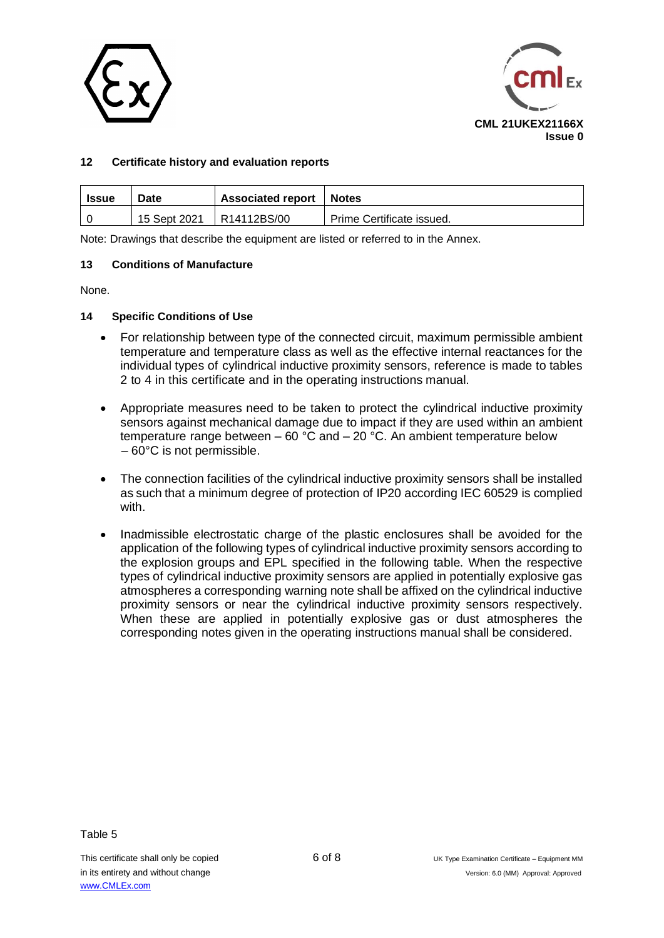



# **12 Certificate history and evaluation reports**

| <b>Issue</b> | Date         | <b>Associated report</b> | Notes                     |
|--------------|--------------|--------------------------|---------------------------|
|              | 15 Sept 2021 | R14112BS/00              | Prime Certificate issued. |

Note: Drawings that describe the equipment are listed or referred to in the Annex.

#### **13 Conditions of Manufacture**

None.

### **14 Specific Conditions of Use**

- For relationship between type of the connected circuit, maximum permissible ambient temperature and temperature class as well as the effective internal reactances for the individual types of cylindrical inductive proximity sensors, reference is made to tables 2 to 4 in this certificate and in the operating instructions manual.
- Appropriate measures need to be taken to protect the cylindrical inductive proximity sensors against mechanical damage due to impact if they are used within an ambient temperature range between – 60 °C and – 20 °C. An ambient temperature below – 60°C is not permissible.
- The connection facilities of the cylindrical inductive proximity sensors shall be installed as such that a minimum degree of protection of IP20 according IEC 60529 is complied with.
- Inadmissible electrostatic charge of the plastic enclosures shall be avoided for the application of the following types of cylindrical inductive proximity sensors according to the explosion groups and EPL specified in the following table. When the respective types of cylindrical inductive proximity sensors are applied in potentially explosive gas atmospheres a corresponding warning note shall be affixed on the cylindrical inductive proximity sensors or near the cylindrical inductive proximity sensors respectively. When these are applied in potentially explosive gas or dust atmospheres the corresponding notes given in the operating instructions manual shall be considered.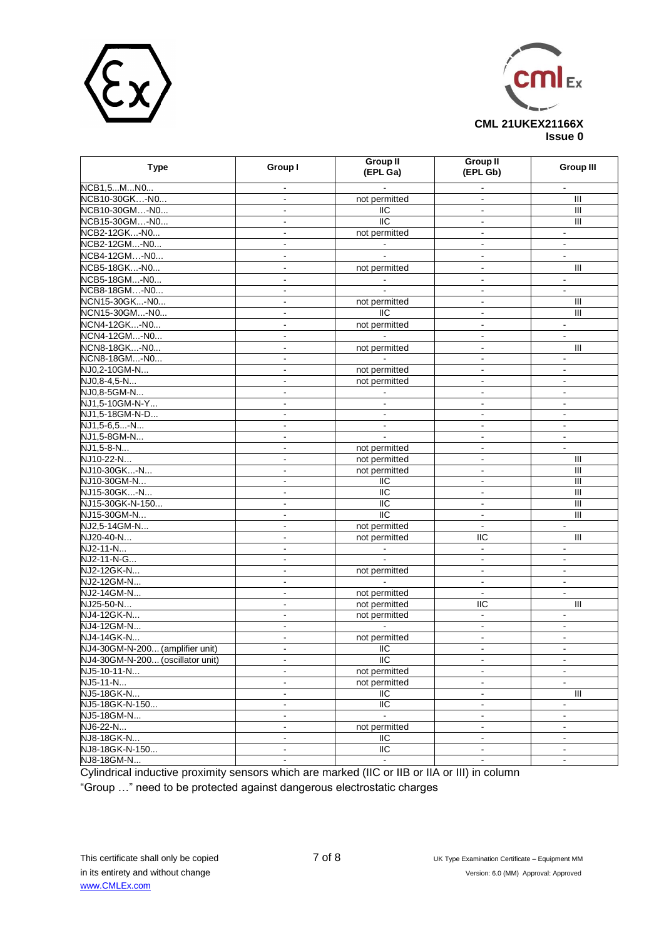



| <b>Type</b>                      | Group I                  | <b>Group II</b><br>(EPL Ga) | <b>Group II</b><br>(EPL Gb)                | <b>Group III</b>                 |  |  |
|----------------------------------|--------------------------|-----------------------------|--------------------------------------------|----------------------------------|--|--|
| NCB1,5MN0                        |                          |                             |                                            | $\blacksquare$                   |  |  |
| NCB10-30GK-N0                    | $\blacksquare$           | not permitted               | $\blacksquare$                             | Ш                                |  |  |
| NCB10-30GM-N0                    | $\overline{\phantom{a}}$ | IIC                         | $\blacksquare$                             | $\mathbf{III}$                   |  |  |
| NCB15-30GM-N0                    |                          | $\overline{11}C$            | $\blacksquare$                             | $\overline{\mathsf{I}}$          |  |  |
| NCB2-12GK-N0                     | $\blacksquare$           | not permitted               | $\Box$                                     | $\blacksquare$                   |  |  |
| NCB2-12GM-N0                     | $\overline{a}$           |                             | $\blacksquare$                             | $\blacksquare$                   |  |  |
| NCB4-12GM-N0                     | $\blacksquare$           |                             | $\blacksquare$                             | $\mathbf{r}$                     |  |  |
| NCB5-18GK-N0                     | ä,                       | not permitted               | $\blacksquare$                             | Ш                                |  |  |
| NCB5-18GM-N0                     | $\blacksquare$           |                             | $\blacksquare$                             | $\blacksquare$                   |  |  |
| NCB8-18GM-N0                     | $\blacksquare$           |                             | $\overline{\phantom{a}}$                   | $\blacksquare$                   |  |  |
| NCN15-30GK-N0                    |                          | not permitted               |                                            | $\mathbf{III}$                   |  |  |
| NCN15-30GM-N0                    | $\overline{\phantom{a}}$ | <b>IIC</b>                  | $\mathbf{r}$                               | Ш                                |  |  |
| NCN4-12GK-N0                     | $\overline{a}$           | not permitted               | $\blacksquare$                             |                                  |  |  |
| NCN4-12GM-N0                     |                          |                             | $\blacksquare$                             | $\blacksquare$<br>$\blacksquare$ |  |  |
|                                  | $\blacksquare$           |                             |                                            |                                  |  |  |
| NCN8-18GK-N0                     | $\overline{\phantom{a}}$ | not permitted               | $\blacksquare$                             | $\mathbf{III}$                   |  |  |
| NCN8-18GM-N0                     | $\blacksquare$           |                             | $\blacksquare$<br>$\overline{\phantom{a}}$ |                                  |  |  |
| NJ0,2-10GM-N                     | $\blacksquare$           | not permitted               |                                            | $\blacksquare$                   |  |  |
| NJ0.8-4.5-N                      | $\blacksquare$           | not permitted               | $\blacksquare$                             | $\blacksquare$                   |  |  |
| NJ0,8-5GM-N                      | $\overline{\phantom{a}}$ |                             | $\blacksquare$                             | $\blacksquare$                   |  |  |
| NJ1,5-10GM-N-Y                   | $\blacksquare$           | $\blacksquare$              | $\blacksquare$                             | $\blacksquare$                   |  |  |
| NJ1,5-18GM-N-D                   | $\overline{\phantom{a}}$ |                             | $\blacksquare$                             | $\blacksquare$                   |  |  |
| NJ1,5-6,5-N                      | $\overline{\phantom{a}}$ | $\blacksquare$              | $\blacksquare$                             | $\blacksquare$                   |  |  |
| NJ1,5-8GM-N                      | $\overline{\phantom{a}}$ | $\blacksquare$              | $\blacksquare$                             | $\blacksquare$                   |  |  |
| NJ1.5-8-N                        | $\overline{\phantom{a}}$ | not permitted               | $\blacksquare$                             | $\blacksquare$                   |  |  |
| NJ10-22-N                        | $\blacksquare$           | not permitted               | $\blacksquare$                             | Ш                                |  |  |
| NJ10-30GK-N                      | $\blacksquare$           | not permitted               | $\blacksquare$                             | Ш                                |  |  |
| NJ10-30GM-N                      | $\overline{\phantom{a}}$ | IIC                         | $\blacksquare$                             | Ш                                |  |  |
| NJ15-30GK-N                      | $\blacksquare$           | <b>IIC</b>                  | $\blacksquare$                             | Ш                                |  |  |
| NJ15-30GK-N-150                  | $\blacksquare$           | IIC                         | $\blacksquare$                             | Ш                                |  |  |
| NJ15-30GM-N                      | $\overline{\phantom{a}}$ | $\overline{IC}$             | $\blacksquare$                             | Ш                                |  |  |
| NJ2,5-14GM-N                     | ۰                        | not permitted               | $\blacksquare$                             | $\blacksquare$                   |  |  |
| NJ20-40-N                        | $\blacksquare$           | not permitted               | <b>IIC</b>                                 | Ш                                |  |  |
| $NJ2-11-N$                       | ä,                       |                             | $\blacksquare$                             | $\blacksquare$                   |  |  |
| NJ2-11-N-G                       | $\blacksquare$           |                             | $\blacksquare$                             | $\blacksquare$                   |  |  |
| NJ2-12GK-N                       | $\blacksquare$           | not permitted               | $\overline{\phantom{a}}$                   | $\blacksquare$                   |  |  |
| NJ2-12GM-N                       | $\blacksquare$           |                             | $\blacksquare$                             | $\blacksquare$                   |  |  |
| NJ2-14GM-N                       | $\blacksquare$           | not permitted               | $\blacksquare$                             | $\blacksquare$                   |  |  |
| NJ25-50-N                        | $\blacksquare$           | not permitted               | <b>IIC</b>                                 | $\mathbf{III}$                   |  |  |
| NJ4-12GK-N                       | $\overline{a}$           | not permitted               | L.                                         | $\blacksquare$                   |  |  |
| NJ4-12GM-N                       | $\blacksquare$           |                             | $\blacksquare$                             | $\blacksquare$                   |  |  |
| NJ4-14GK-N                       | $\overline{\phantom{a}}$ | not permitted               | $\mathbf{r}$                               | $\blacksquare$                   |  |  |
| NJ4-30GM-N-200 (amplifier unit)  | L.                       | IIC                         | $\mathbf{r}$                               | $\blacksquare$                   |  |  |
| NJ4-30GM-N-200 (oscillator unit) | $\blacksquare$           | $\overline{11}$             | $\blacksquare$                             | $\blacksquare$                   |  |  |
| NJ5-10-11-N                      | $\overline{\phantom{a}}$ | not permitted               | ä,                                         | $\blacksquare$                   |  |  |
| NJ5-11-N                         | $\blacksquare$           | not permitted               | $\overline{\phantom{a}}$                   | $\blacksquare$                   |  |  |
| NJ5-18GK-N                       | $\blacksquare$           | IIC                         | $\blacksquare$                             | $\overline{\mathbb{I}}$          |  |  |
| NJ5-18GK-N-150                   | $\blacksquare$           | $\overline{11}$             | $\blacksquare$                             | $\blacksquare$                   |  |  |
| NJ5-18GM-N                       | $\blacksquare$           |                             | $\blacksquare$                             | $\blacksquare$                   |  |  |
| NJ6-22-N                         | $\blacksquare$           | not permitted               | $\blacksquare$                             | $\blacksquare$                   |  |  |
| NJ8-18GK-N                       | $\blacksquare$           | IIC                         | $\blacksquare$                             | $\blacksquare$                   |  |  |
| NJ8-18GK-N-150                   | $\blacksquare$           | IIC                         | $\blacksquare$                             | $\blacksquare$                   |  |  |
| NJ8-18GM-N                       | $\frac{1}{2}$            | $\blacksquare$              | $\blacksquare$                             | $\blacksquare$                   |  |  |

Cylindrical inductive proximity sensors which are marked (IIC or IIB or IIA or III) in column

"Group …" need to be protected against dangerous electrostatic charges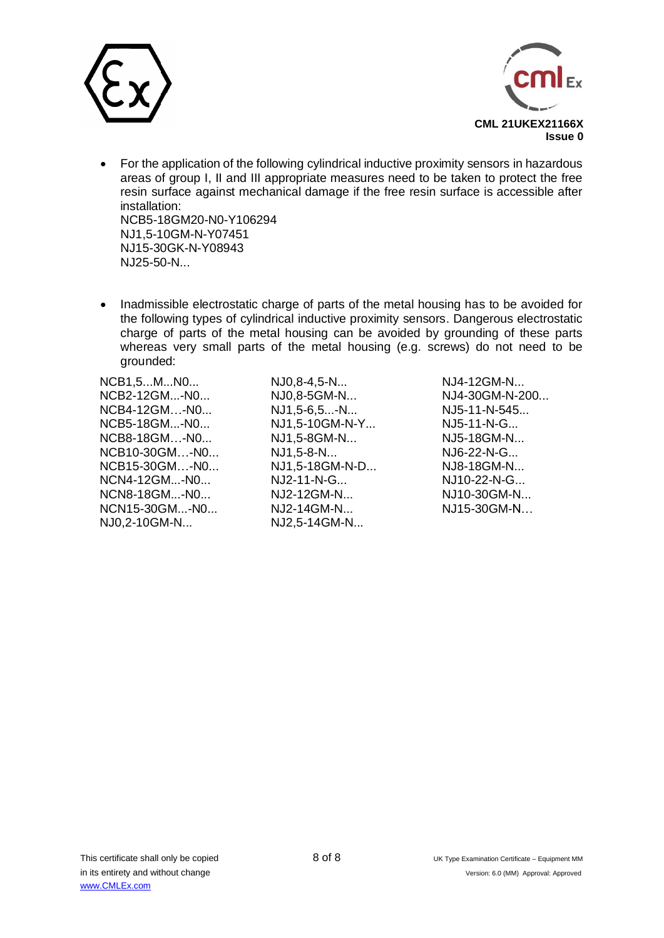



- For the application of the following cylindrical inductive proximity sensors in hazardous areas of group I, II and III appropriate measures need to be taken to protect the free resin surface against mechanical damage if the free resin surface is accessible after installation: NCB5-18GM20-N0-Y106294 NJ1,5-10GM-N-Y07451 NJ15-30GK-N-Y08943
- Inadmissible electrostatic charge of parts of the metal housing has to be avoided for the following types of cylindrical inductive proximity sensors. Dangerous electrostatic charge of parts of the metal housing can be avoided by grounding of these parts whereas very small parts of the metal housing (e.g. screws) do not need to be grounded:

NCB1,5...M...N0... NJ0,8-4,5-N... NJ4-12GM-N... NCB2-12GM...-N0... NJ0,8-5GM-N... NJ4-30GM-N-200... NCB4-12GM…-N0... NJ1,5-6,5...-N... NJ5-11-N-545... NCB5-18GM...-N0... NJ1,5-10GM-N-Y... NJ5-11-N-G... NCB8-18GM…-N0... NJ1,5-8GM-N... NJ5-18GM-N... NCB10-30GM…-N0... NJ1,5-8-N... NJ6-22-N-G... NCB15-30GM…-N0... NJ1,5-18GM-N-D... NJ8-18GM-N... NCN4-12GM...-N0... NJ2-11-N-G... NJ10-22-N-G... NCN8-18GM...-N0... NJ2-12GM-N... NJ10-30GM-N... NCN15-30GM...-N0... NJ2-14GM-N... NJ15-30GM-N… NJ0,2-10GM-N... NJ2,5-14GM-N...

NJ25-50-N...